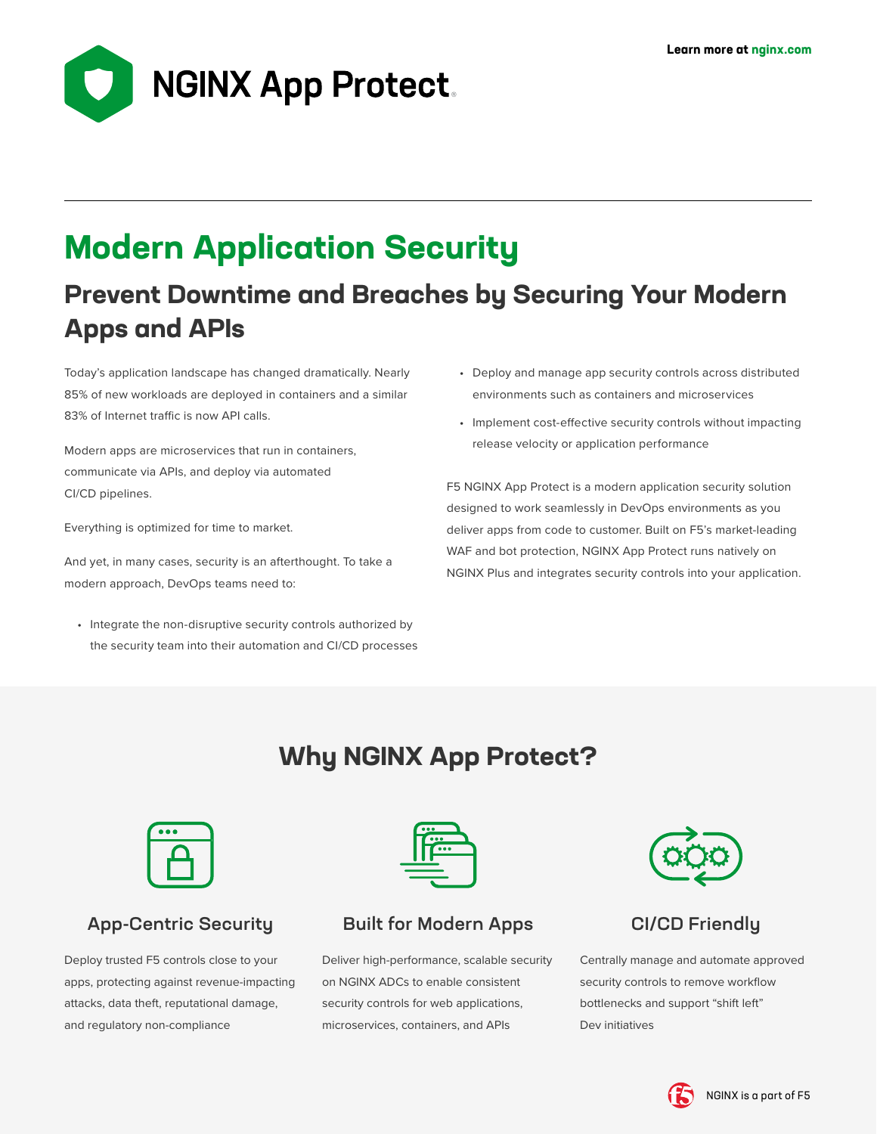

# **Modern Application Security**

# **Prevent Downtime and Breaches by Securing Your Modern Apps and APIs**

Today's application landscape has changed dramatically. Nearly 85% of new workloads are deployed in containers and a similar 83% of Internet traffic is now API calls.

Modern apps are microservices that run in containers, communicate via APIs, and deploy via automated CI/CD pipelines.

Everything is optimized for time to market.

And yet, in many cases, security is an afterthought. To take a modern approach, DevOps teams need to:

• Integrate the non-disruptive security controls authorized by the security team into their automation and CI/CD processes

- Deploy and manage app security controls across distributed environments such as containers and microservices
- Implement cost-effective security controls without impacting release velocity or application performance

F5 NGINX App Protect is a modern application security solution designed to work seamlessly in DevOps environments as you deliver apps from code to customer. Built on F5's market-leading WAF and bot protection, NGINX App Protect runs natively on NGINX Plus and integrates security controls into your application.

# **Why NGINX App Protect?**

| o |             |  |
|---|-------------|--|
|   | $\sim$<br>∼ |  |

# App-Centric Security

Deploy trusted F5 controls close to your apps, protecting against revenue-impacting attacks, data theft, reputational damage, and regulatory non-compliance



### Built for Modern Apps

Deliver high-performance, scalable security on NGINX ADCs to enable consistent security controls for web applications, microservices, containers, and APIs



# CI/CD Friendly

Centrally manage and automate approved security controls to remove workflow bottlenecks and support "shift left" Dev initiatives